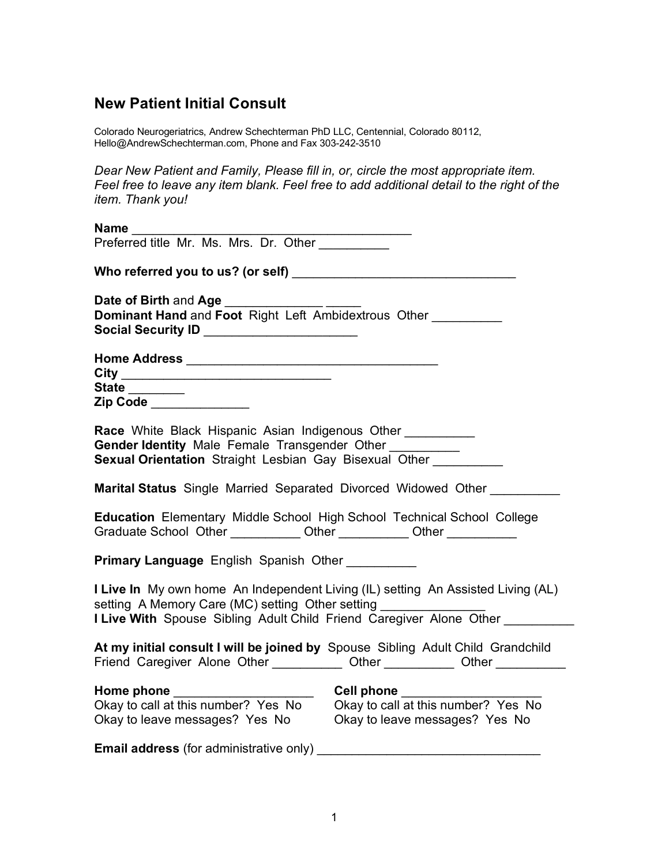# **New Patient Initial Consult**

Colorado Neurogeriatrics, Andrew Schechterman PhD LLC, Centennial, Colorado 80112, Hello@AndrewSchechterman.com, Phone and Fax 303-242-3510

*Dear New Patient and Family, Please fill in, or, circle the most appropriate item. Feel free to leave any item blank. Feel free to add additional detail to the right of the item. Thank you!* 

| Name                                                                                                                                                                                                                         |  |
|------------------------------------------------------------------------------------------------------------------------------------------------------------------------------------------------------------------------------|--|
| Preferred title Mr. Ms. Mrs. Dr. Other                                                                                                                                                                                       |  |
|                                                                                                                                                                                                                              |  |
| <b>Date of Birth and Age</b><br>Dominant Hand and Foot Right Left Ambidextrous Other<br>Social Security ID ______________________                                                                                            |  |
|                                                                                                                                                                                                                              |  |
| State _______<br>Zip Code _____________                                                                                                                                                                                      |  |
| Race White Black Hispanic Asian Indigenous Other _________<br>Gender Identity Male Female Transgender Other _________<br>Sexual Orientation Straight Lesbian Gay Bisexual Other                                              |  |
| <b>Marital Status</b> Single Married Separated Divorced Widowed Other                                                                                                                                                        |  |
| Education Elementary Middle School High School Technical School College<br>Graduate School Other ____________ Other ___________ Other __________                                                                             |  |
| <b>Primary Language English Spanish Other</b>                                                                                                                                                                                |  |
| I Live In My own home An Independent Living (IL) setting An Assisted Living (AL)<br>setting A Memory Care (MC) setting Other setting ________________<br>I Live With Spouse Sibling Adult Child Friend Caregiver Alone Other |  |
| At my initial consult I will be joined by Spouse Sibling Adult Child Grandchild<br>Friend Caregiver Alone Other ____________ Other ___________ Other _____________                                                           |  |
| Home phone<br>Okay to call at this number? Yes No<br>Ckay to call at this number? Yes No<br>Ckay to call at this number? Yes No<br>Okay to leave messages? Yes No Okay to leave messages? Yes No                             |  |
| <b>Email address (for administrative only)</b>                                                                                                                                                                               |  |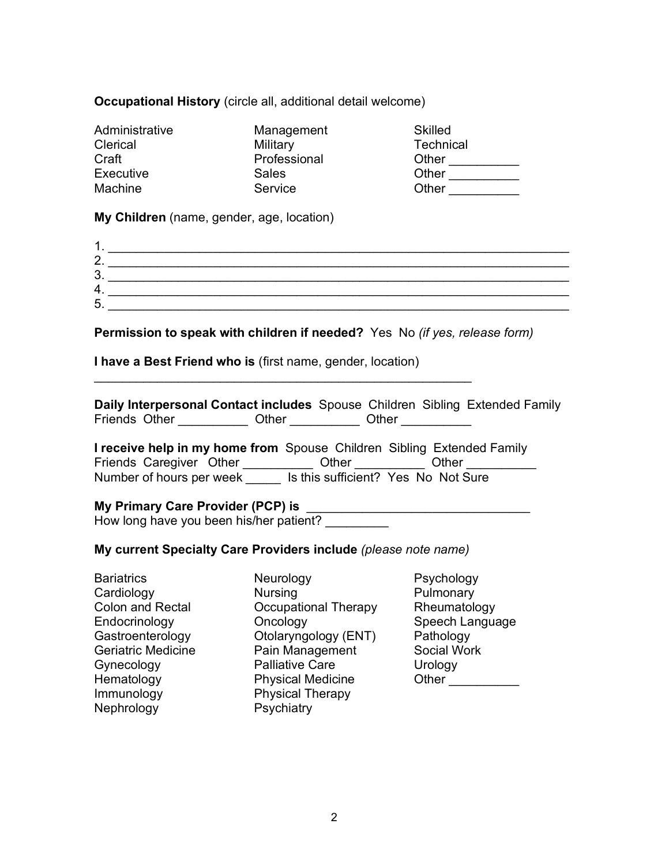## **Occupational History** (circle all, additional detail welcome)

| Administrative | Management   | <b>Skilled</b>   |
|----------------|--------------|------------------|
| Clerical       | Military     | <b>Technical</b> |
| Craft          | Professional | Other            |
| Executive      | Sales        | Other            |
| Machine        | Service      | Other            |

**My Children** (name, gender, age, location)

| 2.     |  |
|--------|--|
| າ<br>ື |  |
| 4      |  |
| 5      |  |
|        |  |

**Permission to speak with children if needed?** Yes No *(if yes, release form)*

**I have a Best Friend who is** (first name, gender, location)

 $\mathcal{L}_\text{max}$  , and the contract of the contract of the contract of the contract of the contract of the contract of the contract of the contract of the contract of the contract of the contract of the contract of the contr

**Daily Interpersonal Contact includes** Spouse Children Sibling Extended Family Friends Other \_\_\_\_\_\_\_\_\_\_\_ Other \_\_\_\_\_\_\_\_\_ Other \_\_\_\_\_\_\_\_\_

**I receive help in my home from** Spouse Children Sibling Extended Family Friends Caregiver Other \_\_\_\_\_\_\_\_\_\_\_ Other \_\_\_\_\_\_\_\_\_ Other \_\_\_\_\_\_\_\_\_ Number of hours per week lis this sufficient? Yes No Not Sure

**My Primary Care Provider (PCP) is** How long have you been his/her patient?

#### **My current Specialty Care Providers include** *(please note name)*

Bariatrics Cardiology Colon and Rectal **Endocrinology** Gastroenterology Geriatric Medicine Gynecology Hematology Immunology Nephrology

Neurology Nursing Occupational Therapy **Oncology** Otolaryngology (ENT) Pain Management Palliative Care Physical Medicine Physical Therapy **Psychiatry** 

Psychology Pulmonary Rheumatology Speech Language Pathology Social Work Urology Other \_\_\_\_\_\_\_\_\_\_\_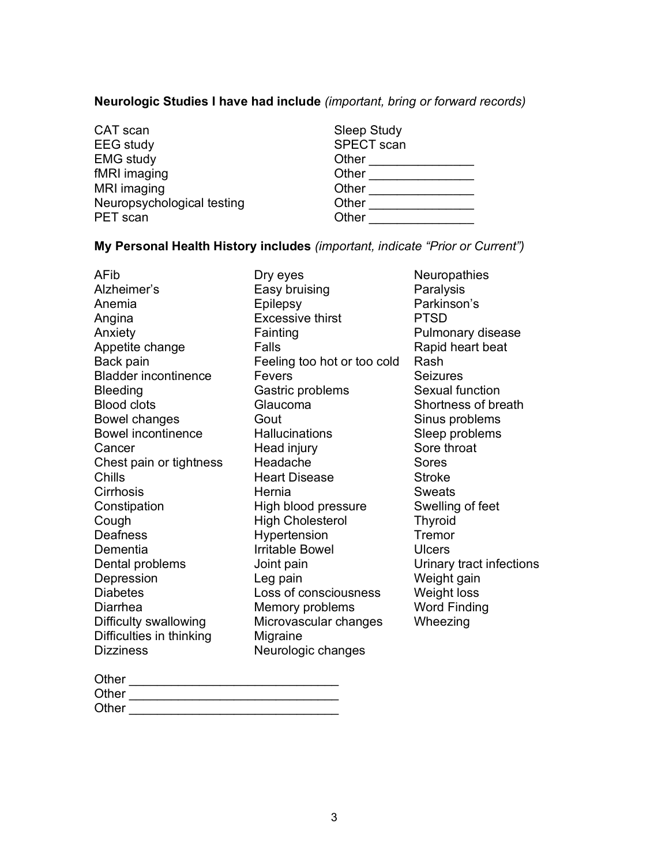# **Neurologic Studies I have had include** *(important, bring or forward records)*

| CAT scan                   |
|----------------------------|
| <b>EEG</b> study           |
| <b>EMG</b> study           |
| fMRI imaging               |
| MRI imaging                |
| Neuropsychological testing |
| <b>PET</b> scan            |

| Sleep Study | <b>SPECT</b> scan |  |  |
|-------------|-------------------|--|--|
| Other       |                   |  |  |
| Other       |                   |  |  |
| Other       |                   |  |  |
| Other       |                   |  |  |
| Other       |                   |  |  |

# **My Personal Health History includes** *(important, indicate "Prior or Current")*

| AFib                        | Dry eyes                    | Neuropathies             |
|-----------------------------|-----------------------------|--------------------------|
| Alzheimer's                 | Easy bruising               | Paralysis                |
| Anemia                      | Epilepsy                    | Parkinson's              |
| Angina                      | <b>Excessive thirst</b>     | <b>PTSD</b>              |
| Anxiety                     | Fainting                    | Pulmonary disease        |
| Appetite change             | Falls                       | Rapid heart beat         |
| Back pain                   | Feeling too hot or too cold | Rash                     |
| <b>Bladder incontinence</b> | Fevers                      | <b>Seizures</b>          |
| <b>Bleeding</b>             | Gastric problems            | Sexual function          |
| <b>Blood clots</b>          | Glaucoma                    | Shortness of breath      |
| Bowel changes               | Gout                        | Sinus problems           |
| <b>Bowel incontinence</b>   | Hallucinations              | Sleep problems           |
| Cancer                      | Head injury                 | Sore throat              |
| Chest pain or tightness     | Headache                    | Sores                    |
| Chills                      | <b>Heart Disease</b>        | <b>Stroke</b>            |
| Cirrhosis                   | Hernia                      | <b>Sweats</b>            |
| Constipation                | High blood pressure         | Swelling of feet         |
| Cough                       | <b>High Cholesterol</b>     | <b>Thyroid</b>           |
| <b>Deafness</b>             | Hypertension                | Tremor                   |
| Dementia                    | <b>Irritable Bowel</b>      | <b>Ulcers</b>            |
| Dental problems             | Joint pain                  | Urinary tract infections |
| Depression                  | Leg pain                    | Weight gain              |
| <b>Diabetes</b>             | Loss of consciousness       | Weight loss              |
| Diarrhea                    | Memory problems             | <b>Word Finding</b>      |
| Difficulty swallowing       | Microvascular changes       | Wheezing                 |
| Difficulties in thinking    | Migraine                    |                          |
| <b>Dizziness</b>            | Neurologic changes          |                          |
|                             |                             |                          |

| Other |  |
|-------|--|
| Other |  |
| Other |  |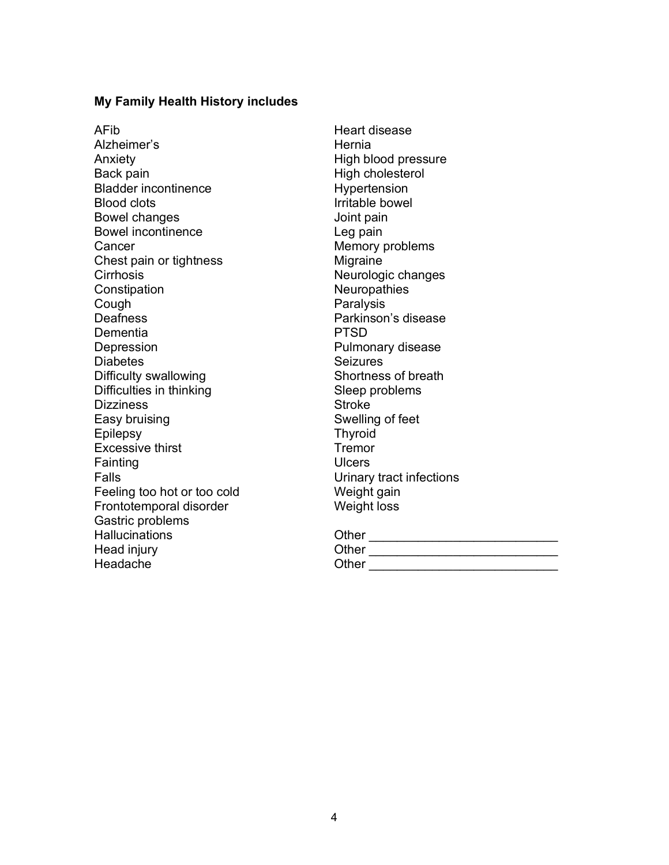#### **My Family Health History includes**

AFib Alzheimer's Anxiety Back pain Bladder incontinence Blood clots Bowel changes Bowel incontinence **Cancer** Chest pain or tightness **Cirrhosis Constipation** Cough **Deafness** Dementia **Depression Diabetes** Difficulty swallowing Difficulties in thinking **Dizziness** Easy bruising **Epilepsy** Excessive thirst Fainting Falls Feeling too hot or too cold Frontotemporal disorder Gastric problems **Hallucinations** Head injury Headache

Heart disease **Hernia** High blood pressure High cholesterol Hypertension Irritable bowel Joint pain Leg pain Memory problems **Migraine** Neurologic changes **Neuropathies** Paralysis Parkinson's disease PTSD Pulmonary disease **Seizures** Shortness of breath Sleep problems **Stroke** Swelling of feet Thyroid **Tremor Ulcers** Urinary tract infections Weight gain Weight loss

| Other |  |  |  |  |
|-------|--|--|--|--|
| [     |  |  |  |  |

| v.<br>٧ | ×<br>٠ | w | ۰, |  |
|---------|--------|---|----|--|
|         |        |   |    |  |

| Other |  |  |  |  |  |
|-------|--|--|--|--|--|
|       |  |  |  |  |  |

 $\overline{\mathcal{O}}_{\mathcal{A}}$  , and the set of the set of the set of the set of the set of the set of the set of the set of the set of the set of the set of the set of the set of the set of the set of the set of the set of the set o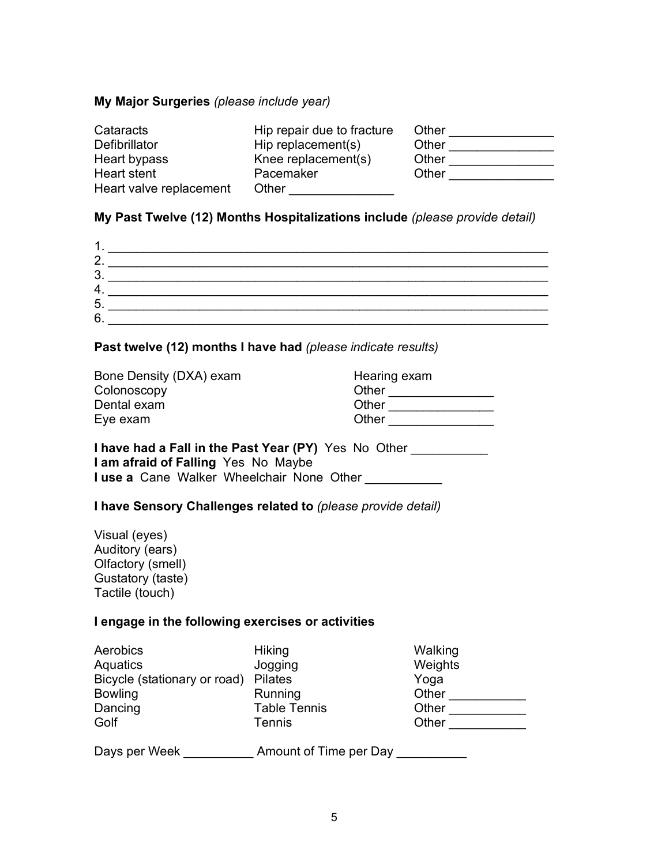### **My Major Surgeries** *(please include year)*

| Cataracts               | Hip repair due to fracture | Other |
|-------------------------|----------------------------|-------|
| Defibrillator           | Hip replacement(s)         | Other |
| Heart bypass            | Knee replacement(s)        | Other |
| Heart stent             | Pacemaker                  | Other |
| Heart valve replacement | Other                      |       |

## **My Past Twelve (12) Months Hospitalizations include** *(please provide detail)*

| 2.      |  |
|---------|--|
| ാ<br>J. |  |
| 4.      |  |
| 5       |  |
| 6       |  |

## **Past twelve (12) months I have had** *(please indicate results)*

| Bone Density (DXA) exam | Hearing exam |
|-------------------------|--------------|
| Colonoscopy             | Other        |
| Dental exam             | Other        |
| Eye exam                | Other        |

## **I have had a Fall in the Past Year (PY)** Yes No Other **I am afraid of Falling** Yes No Maybe **I use a** Cane Walker Wheelchair None Other

#### **I have Sensory Challenges related to** *(please provide detail)*

| Visual (eyes)     |
|-------------------|
| Auditory (ears)   |
| Olfactory (smell) |
| Gustatory (taste) |
| Tactile (touch)   |

## **I engage in the following exercises or activities**

| Aerobics                     | <b>Hiking</b>          | Walking |
|------------------------------|------------------------|---------|
| Aquatics                     | Jogging                | Weights |
| Bicycle (stationary or road) | <b>Pilates</b>         | Yoga    |
| <b>Bowling</b>               | Running                | Other   |
| Dancing                      | <b>Table Tennis</b>    | Other   |
| Golf                         | <b>Tennis</b>          | Other   |
| Days per Week                | Amount of Time per Day |         |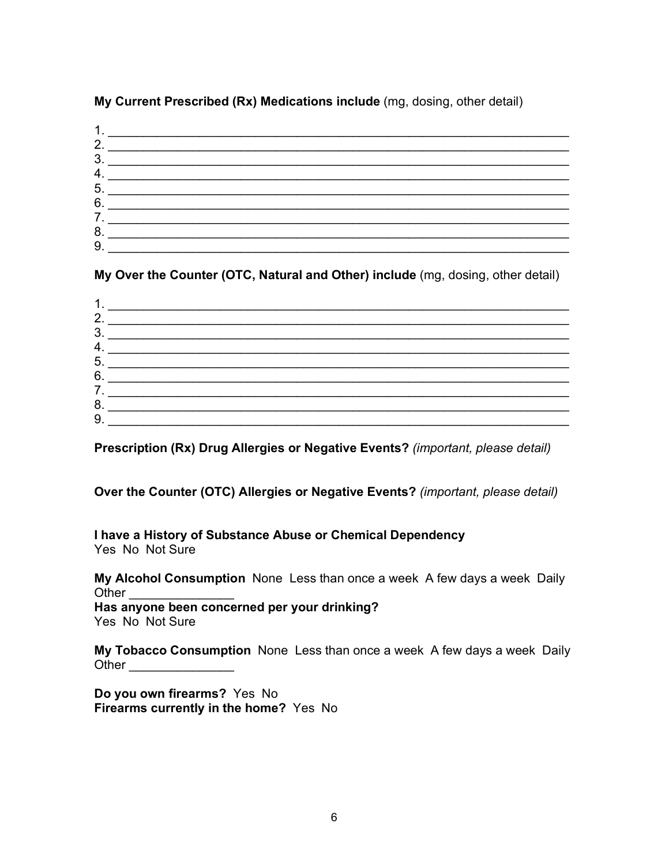# 1.  $\blacksquare$ 2.  $\blacksquare$ 3. \_\_\_\_\_\_\_\_\_\_\_\_\_\_\_\_\_\_\_\_\_\_\_\_\_\_\_\_\_\_\_\_\_\_\_\_\_\_\_\_\_\_\_\_\_\_\_\_\_\_\_\_\_\_\_\_\_\_\_\_\_\_\_\_\_\_ 4. \_\_\_\_\_\_\_\_\_\_\_\_\_\_\_\_\_\_\_\_\_\_\_\_\_\_\_\_\_\_\_\_\_\_\_\_\_\_\_\_\_\_\_\_\_\_\_\_\_\_\_\_\_\_\_\_\_\_\_\_\_\_\_\_\_\_ 5. \_\_\_\_\_\_\_\_\_\_\_\_\_\_\_\_\_\_\_\_\_\_\_\_\_\_\_\_\_\_\_\_\_\_\_\_\_\_\_\_\_\_\_\_\_\_\_\_\_\_\_\_\_\_\_\_\_\_\_\_\_\_\_\_\_\_  $6.$ 7. \_\_\_\_\_\_\_\_\_\_\_\_\_\_\_\_\_\_\_\_\_\_\_\_\_\_\_\_\_\_\_\_\_\_\_\_\_\_\_\_\_\_\_\_\_\_\_\_\_\_\_\_\_\_\_\_\_\_\_\_\_\_\_\_\_\_ 8.  $9.$

**My Current Prescribed (Rx) Medications include** (mg, dosing, other detail)

**My Over the Counter (OTC, Natural and Other) include** (mg, dosing, other detail)

| л  |  |
|----|--|
| 2. |  |
| 3. |  |
| 4. |  |
| 5. |  |
| 6. |  |
| 7. |  |
| 8. |  |
| 9. |  |

**Prescription (Rx) Drug Allergies or Negative Events?** *(important, please detail)*

**Over the Counter (OTC) Allergies or Negative Events?** *(important, please detail)*

**I have a History of Substance Abuse or Chemical Dependency**  Yes No Not Sure

**My Alcohol Consumption** NoneLess than once a week A few days a week Daily Other  $\Box$ **Has anyone been concerned per your drinking?**  Yes No Not Sure

**My Tobacco Consumption** NoneLess than once a week A few days a week Daily Other \_\_\_\_\_\_\_\_\_\_\_\_\_\_\_

**Do you own firearms?** Yes No **Firearms currently in the home?** Yes No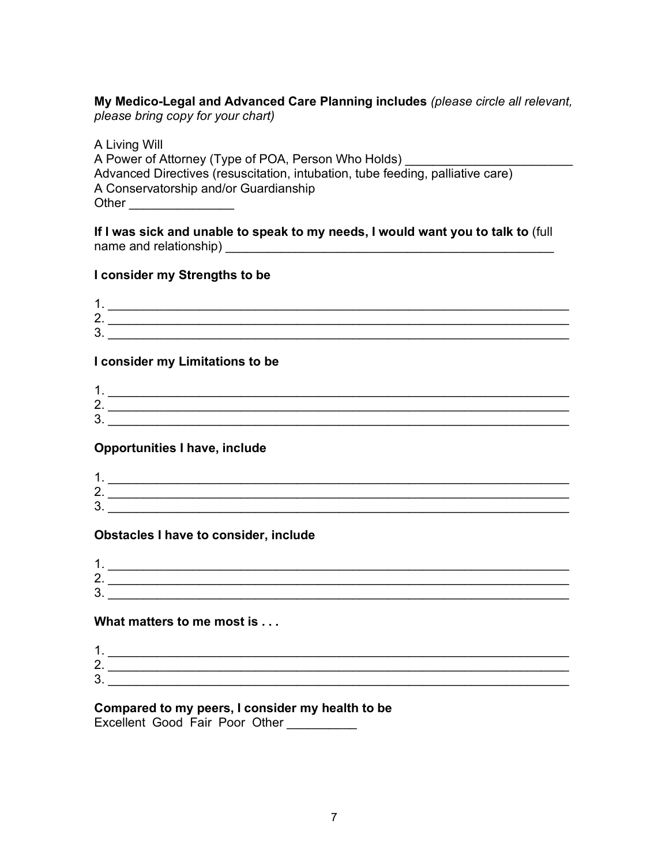**My Medico-Legal and Advanced Care Planning includes** *(please circle all relevant, please bring copy for your chart)*

A Living Will A Power of Attorney (Type of POA, Person Who Holds) Advanced Directives (resuscitation, intubation, tube feeding, palliative care) A Conservatorship and/or Guardianship Other **and a** 

**If I was sick and unable to speak to my needs, I would want you to talk to** (full name and relationship)

## **I consider my Strengths to be**

| ╭<br><u>.</u> |  |
|---------------|--|
| ◠<br>ັ        |  |

### **I consider my Limitations to be**

| ∽<br><u>.</u> |  |
|---------------|--|
|               |  |

## **Opportunities I have, include**

| -             |  |
|---------------|--|
| ◠<br><u>.</u> |  |
| ⌒<br>u.       |  |

## **Obstacles I have to consider, include**

| л             |  |
|---------------|--|
| ⌒<br><u>.</u> |  |
| າ<br>ັ        |  |

## **What matters to me most is . . .**

| ∽ |  |
|---|--|
| - |  |

# **Compared to my peers, I consider my health to be**

Excellent Good Fair Poor Other